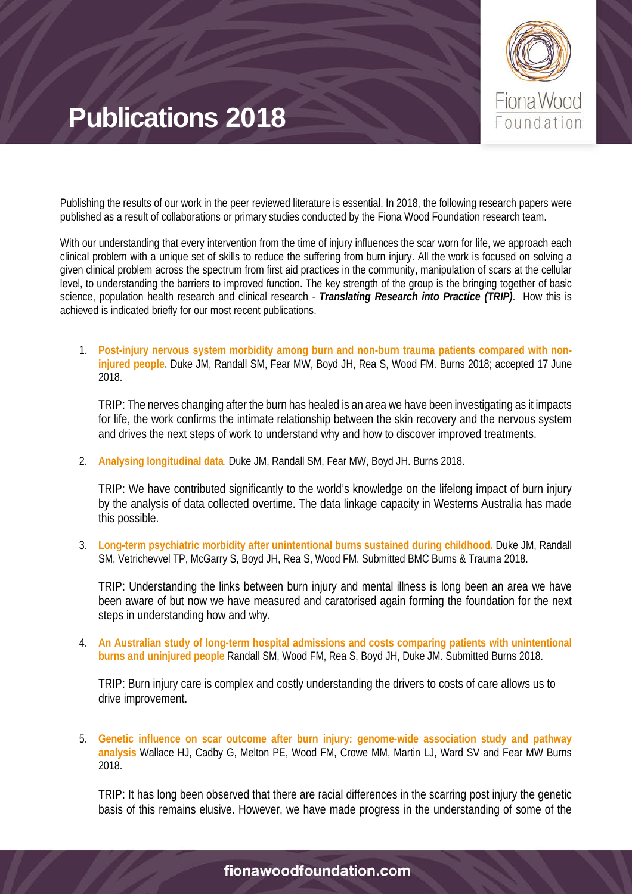

Publishing the results of our work in the peer reviewed literature is essential. In 2018, the following research papers were published as a result of collaborations or primary studies conducted by the Fiona Wood Foundation research team.

With our understanding that every intervention from the time of injury influences the scar worn for life, we approach each clinical problem with a unique set of skills to reduce the suffering from burn injury. All the work is focused on solving a given clinical problem across the spectrum from first aid practices in the community, manipulation of scars at the cellular level, to understanding the barriers to improved function. The key strength of the group is the bringing together of basic science, population health research and clinical research - *Translating Research into Practice (TRIP)*. How this is achieved is indicated briefly for our most recent publications.

1. **Post-injury nervous system morbidity among burn and non-burn trauma patients compared with noninjured people.** Duke JM, Randall SM, Fear MW, Boyd JH, Rea S, Wood FM. Burns 2018; accepted 17 June 2018.

TRIP: The nerves changing after the burn has healed is an area we have been investigating as it impacts for life, the work confirms the intimate relationship between the skin recovery and the nervous system and drives the next steps of work to understand why and how to discover improved treatments.

2. **Analysing longitudinal data**. Duke JM, Randall SM, Fear MW, Boyd JH. Burns 2018.

TRIP: We have contributed significantly to the world's knowledge on the lifelong impact of burn injury by the analysis of data collected overtime. The data linkage capacity in Westerns Australia has made this possible.

3. **Long-term psychiatric morbidity after unintentional burns sustained during childhood.** Duke JM, Randall SM, Vetrichevvel TP, McGarry S, Boyd JH, Rea S, Wood FM. Submitted BMC Burns & Trauma 2018.

TRIP: Understanding the links between burn injury and mental illness is long been an area we have been aware of but now we have measured and caratorised again forming the foundation for the next steps in understanding how and why.

4. **An Australian study of long-term hospital admissions and costs comparing patients with unintentional burns and uninjured people** Randall SM, Wood FM, Rea S, Boyd JH, Duke JM. Submitted Burns 2018.

TRIP: Burn injury care is complex and costly understanding the drivers to costs of care allows us to drive improvement.

5. **Genetic influence on scar outcome after burn injury: genome-wide association study and pathway analysis** Wallace HJ, Cadby G, Melton PE, Wood FM, Crowe MM, Martin LJ, Ward SV and Fear MW Burns 2018.

TRIP: It has long been observed that there are racial differences in the scarring post injury the genetic basis of this remains elusive. However, we have made progress in the understanding of some of the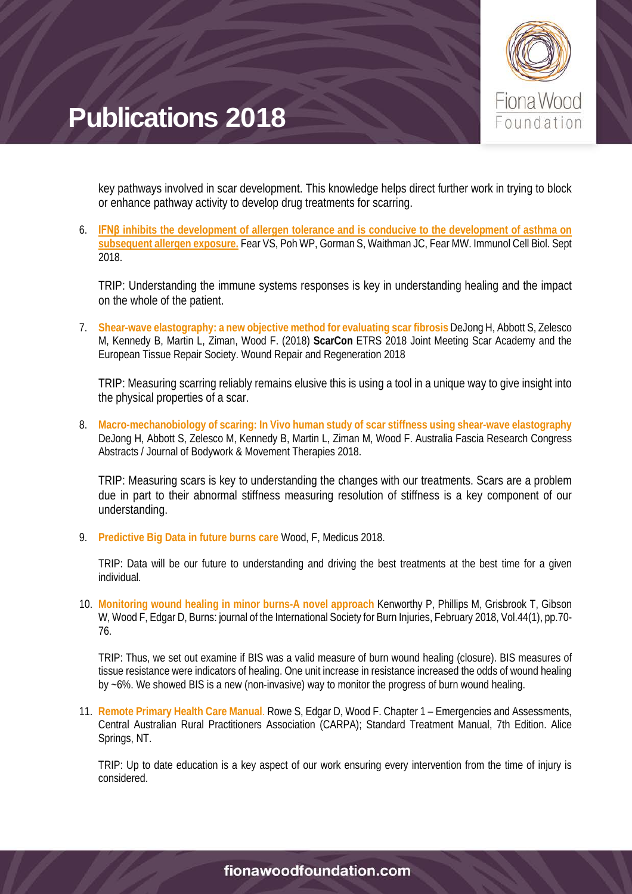

key pathways involved in scar development. This knowledge helps direct further work in trying to block or enhance pathway activity to develop drug treatments for scarring.

6. **IFNβ [inhibits the development of allergen tolerance and is conducive to the development of asthma on](https://www.ncbi.nlm.nih.gov/pubmed/29611236)  [subsequent allergen exposure.](https://www.ncbi.nlm.nih.gov/pubmed/29611236)** Fear VS, Poh WP, Gorman S, Waithman JC, Fear MW. Immunol Cell Biol. Sept 2018.

TRIP: Understanding the immune systems responses is key in understanding healing and the impact on the whole of the patient.

7. **Shear-wave elastography: a new objective method for evaluating scar fibrosis** DeJong H, Abbott S, Zelesco M, Kennedy B, Martin L, Ziman, Wood F. (2018) **ScarCon** ETRS 2018 Joint Meeting Scar Academy and the European Tissue Repair Society. Wound Repair and Regeneration 2018

TRIP: Measuring scarring reliably remains elusive this is using a tool in a unique way to give insight into the physical properties of a scar.

8. **Macro-mechanobiology of scaring: In Vivo human study of scar stiffness using shear-wave elastography** DeJong H, Abbott S, Zelesco M, Kennedy B, Martin L, Ziman M, Wood F. Australia Fascia Research Congress Abstracts / Journal of Bodywork & Movement Therapies 2018.

TRIP: Measuring scars is key to understanding the changes with our treatments. Scars are a problem due in part to their abnormal stiffness measuring resolution of stiffness is a key component of our understanding.

9. **Predictive Big Data in future burns care** Wood, F, Medicus 2018.

TRIP: Data will be our future to understanding and driving the best treatments at the best time for a given individual.

10. **Monitoring wound healing in minor burns-A novel approach** Kenworthy P, Phillips M, Grisbrook T, Gibson W, Wood F, Edgar D, Burns: journal of the International Society for Burn Injuries, February 2018, Vol.44(1), pp.70- 76.

TRIP: Thus, we set out examine if BIS was a valid measure of burn wound healing (closure). BIS measures of tissue resistance were indicators of healing. One unit increase in resistance increased the odds of wound healing by ~6%. We showed BIS is a new (non-invasive) way to monitor the progress of burn wound healing.

11. **Remote Primary Health Care Manual**. Rowe S, Edgar D, Wood F. Chapter 1 – Emergencies and Assessments, Central Australian Rural Practitioners Association (CARPA); Standard Treatment Manual, 7th Edition. Alice Springs, NT.

TRIP: Up to date education is a key aspect of our work ensuring every intervention from the time of injury is considered.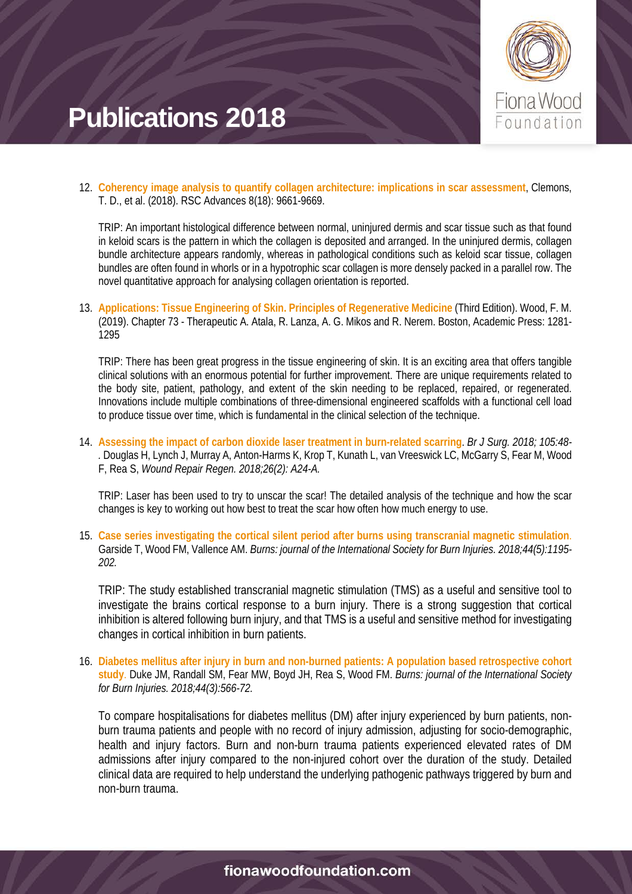

12. **Coherency image analysis to quantify collagen architecture: implications in scar assessment**, Clemons, T. D., et al. (2018). RSC Advances 8(18): 9661-9669.

TRIP: An important histological difference between normal, uninjured dermis and scar tissue such as that found in keloid scars is the pattern in which the collagen is deposited and arranged. In the uninjured dermis, collagen bundle architecture appears randomly, whereas in pathological conditions such as keloid scar tissue, collagen bundles are often found in whorls or in a hypotrophic scar collagen is more densely packed in a parallel row. The novel quantitative approach for analysing collagen orientation is reported.

13. **Applications: Tissue Engineering of Skin. Principles of Regenerative Medicine** (Third Edition). Wood, F. M. (2019). Chapter 73 - Therapeutic A. Atala, R. Lanza, A. G. Mikos and R. Nerem. Boston, Academic Press: 1281- 1295

TRIP: There has been great progress in the tissue engineering of skin. It is an exciting area that offers tangible clinical solutions with an enormous potential for further improvement. There are unique requirements related to the body site, patient, pathology, and extent of the skin needing to be replaced, repaired, or regenerated. Innovations include multiple combinations of three-dimensional engineered scaffolds with a functional cell load to produce tissue over time, which is fundamental in the clinical selection of the technique.

14. **Assessing the impact of carbon dioxide laser treatment in burn-related scarring**. *Br J Surg. 2018; 105:48- .* Douglas H, Lynch J, Murray A, Anton-Harms K, Krop T, Kunath L, van Vreeswick LC, McGarry S, Fear M, Wood F, Rea S, *Wound Repair Regen. 2018;26(2): A24-A.*

TRIP: Laser has been used to try to unscar the scar! The detailed analysis of the technique and how the scar changes is key to working out how best to treat the scar how often how much energy to use.

15. **Case series investigating the cortical silent period after burns using transcranial magnetic stimulation**. Garside T, Wood FM, Vallence AM. *Burns: journal of the International Society for Burn Injuries. 2018;44(5):1195- 202.*

TRIP: The study established transcranial magnetic stimulation (TMS) as a useful and sensitive tool to investigate the brains cortical response to a burn injury. There is a strong suggestion that cortical inhibition is altered following burn injury, and that TMS is a useful and sensitive method for investigating changes in cortical inhibition in burn patients.

16. **Diabetes mellitus after injury in burn and non-burned patients: A population based retrospective cohort study**. Duke JM, Randall SM, Fear MW, Boyd JH, Rea S, Wood FM. *Burns: journal of the International Society for Burn Injuries. 2018;44(3):566-72.*

To compare hospitalisations for diabetes mellitus (DM) after injury experienced by burn patients, nonburn trauma patients and people with no record of injury admission, adjusting for socio-demographic, health and injury factors. Burn and non-burn trauma patients experienced elevated rates of DM admissions after injury compared to the non-injured cohort over the duration of the study. Detailed clinical data are required to help understand the underlying pathogenic pathways triggered by burn and non-burn trauma.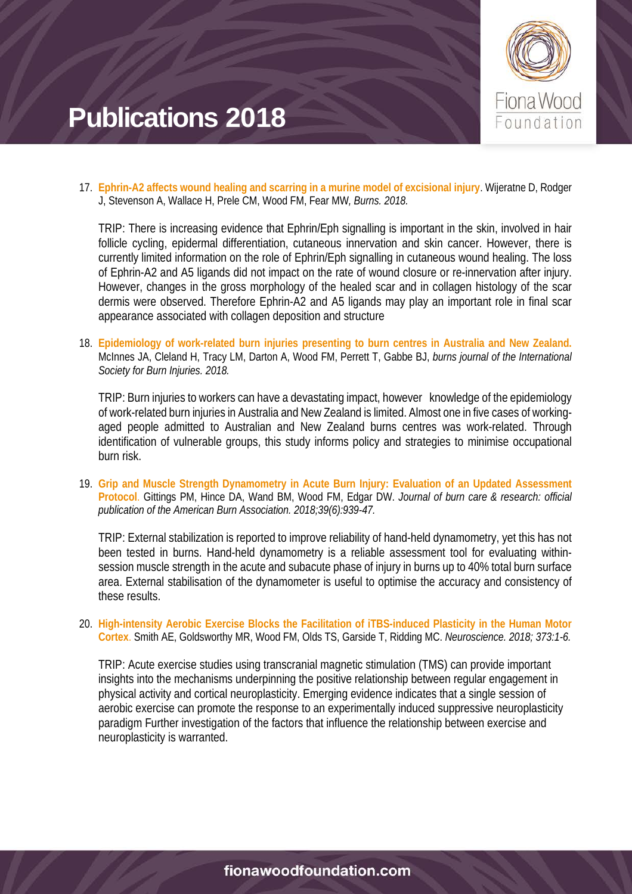

17. **Ephrin-A2 affects wound healing and scarring in a murine model of excisional injury**. Wijeratne D, Rodger J, Stevenson A, Wallace H, Prele CM, Wood FM, Fear MW*, Burns. 2018.*

TRIP: There is increasing evidence that Ephrin/Eph signalling is important in the skin, involved in hair follicle cycling, epidermal differentiation, cutaneous innervation and skin cancer. However, there is currently limited information on the role of Ephrin/Eph signalling in cutaneous wound healing. The loss of Ephrin-A2 and A5 ligands did not impact on the rate of wound closure or re-innervation after injury. However, changes in the gross morphology of the healed scar and in collagen histology of the scar dermis were observed. Therefore Ephrin-A2 and A5 ligands may play an important role in final scar appearance associated with collagen deposition and structure

18. **Epidemiology of work-related burn injuries presenting to burn centres in Australia and New Zealand.**  McInnes JA, Cleland H, Tracy LM, Darton A, Wood FM, Perrett T, Gabbe BJ, *burns journal of the International Society for Burn Injuries. 2018.*

TRIP: Burn injuries to workers can have a devastating impact, however knowledge of the epidemiology of work-related burn injuries in Australia and New Zealand is limited. Almost one in five cases of workingaged people admitted to Australian and New Zealand burns centres was work-related. Through identification of vulnerable groups, this study informs policy and strategies to minimise occupational burn risk.

19. **Grip and Muscle Strength Dynamometry in Acute Burn Injury: Evaluation of an Updated Assessment Protocol**. Gittings PM, Hince DA, Wand BM, Wood FM, Edgar DW. *Journal of burn care & research: official publication of the American Burn Association. 2018;39(6):939-47.*

TRIP: External stabilization is reported to improve reliability of hand-held dynamometry, yet this has not been tested in burns. Hand-held dynamometry is a reliable assessment tool for evaluating withinsession muscle strength in the acute and subacute phase of injury in burns up to 40% total burn surface area. External stabilisation of the dynamometer is useful to optimise the accuracy and consistency of these results.

20. **High-intensity Aerobic Exercise Blocks the Facilitation of iTBS-induced Plasticity in the Human Motor Cortex**. Smith AE, Goldsworthy MR, Wood FM, Olds TS, Garside T, Ridding MC. *Neuroscience. 2018; 373:1-6.*

TRIP: Acute exercise studies using transcranial magnetic stimulation (TMS) can provide important insights into the mechanisms underpinning the positive relationship between regular engagement in physical activity and cortical neuroplasticity. Emerging evidence indicates that a single session of aerobic exercise can promote the response to an experimentally induced suppressive neuroplasticity paradigm Further investigation of the factors that influence the relationship between exercise and neuroplasticity is warranted.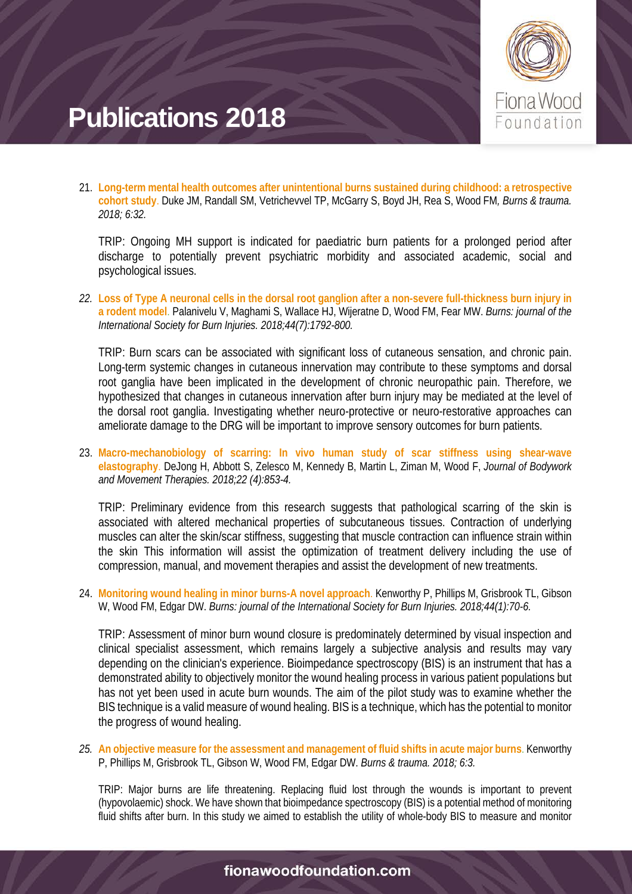

21. **Long-term mental health outcomes after unintentional burns sustained during childhood: a retrospective cohort study**. Duke JM, Randall SM, Vetrichevvel TP, McGarry S, Boyd JH, Rea S, Wood FM*, Burns & trauma. 2018; 6:32.*

TRIP: Ongoing MH support is indicated for paediatric burn patients for a prolonged period after discharge to potentially prevent psychiatric morbidity and associated academic, social and psychological issues.

*22.* **Loss of Type A neuronal cells in the dorsal root ganglion after a non-severe full-thickness burn injury in a rodent model**. Palanivelu V, Maghami S, Wallace HJ, Wijeratne D, Wood FM, Fear MW. *Burns: journal of the International Society for Burn Injuries. 2018;44(7):1792-800.*

TRIP: Burn scars can be associated with significant loss of cutaneous sensation, and chronic pain. Long-term systemic changes in cutaneous innervation may contribute to these symptoms and dorsal root ganglia have been implicated in the development of chronic neuropathic pain. Therefore, we hypothesized that changes in cutaneous innervation after burn injury may be mediated at the level of the dorsal root ganglia. Investigating whether neuro-protective or neuro-restorative approaches can ameliorate damage to the DRG will be important to improve sensory outcomes for burn patients.

23. **Macro-mechanobiology of scarring: In vivo human study of scar stiffness using shear-wave elastography**. DeJong H, Abbott S, Zelesco M, Kennedy B, Martin L, Ziman M, Wood F, *Journal of Bodywork and Movement Therapies. 2018;22 (4):853-4.*

TRIP: Preliminary evidence from this research suggests that pathological scarring of the skin is associated with altered mechanical properties of subcutaneous tissues. Contraction of underlying muscles can alter the skin/scar stiffness, suggesting that muscle contraction can influence strain within the skin This information will assist the optimization of treatment delivery including the use of compression, manual, and movement therapies and assist the development of new treatments.

24. **Monitoring wound healing in minor burns-A novel approach**. Kenworthy P, Phillips M, Grisbrook TL, Gibson W, Wood FM, Edgar DW. *Burns: journal of the International Society for Burn Injuries. 2018;44(1):70-6.*

TRIP: Assessment of minor burn wound closure is predominately determined by visual inspection and clinical specialist assessment, which remains largely a subjective analysis and results may vary depending on the clinician's experience. Bioimpedance spectroscopy (BIS) is an instrument that has a demonstrated ability to objectively monitor the wound healing process in various patient populations but has not yet been used in acute burn wounds. The aim of the pilot study was to examine whether the BIS technique is a valid measure of wound healing. BIS is a technique, which has the potential to monitor the progress of wound healing.

*25.* **An objective measure for the assessment and management of fluid shifts in acute major burns**. Kenworthy P, Phillips M, Grisbrook TL, Gibson W, Wood FM, Edgar DW. *Burns & trauma. 2018; 6:3.*

TRIP: Major burns are life threatening. Replacing fluid lost through the wounds is important to prevent (hypovolaemic) shock. We have shown that bioimpedance spectroscopy (BIS) is a potential method of monitoring fluid shifts after burn. In this study we aimed to establish the utility of whole-body BIS to measure and monitor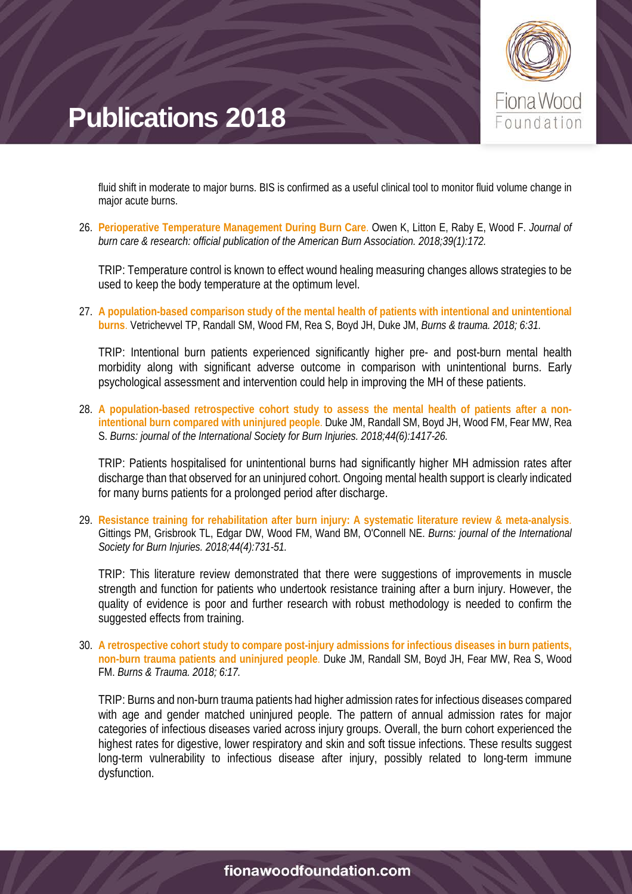

fluid shift in moderate to major burns. BIS is confirmed as a useful clinical tool to monitor fluid volume change in major acute burns.

26. **Perioperative Temperature Management During Burn Care**. Owen K, Litton E, Raby E, Wood F. *Journal of burn care & research: official publication of the American Burn Association. 2018;39(1):172.*

TRIP: Temperature control is known to effect wound healing measuring changes allows strategies to be used to keep the body temperature at the optimum level.

27. **A population-based comparison study of the mental health of patients with intentional and unintentional burns**. Vetrichevvel TP, Randall SM, Wood FM, Rea S, Boyd JH, Duke JM, *Burns & trauma. 2018; 6:31.*

TRIP: Intentional burn patients experienced significantly higher pre- and post-burn mental health morbidity along with significant adverse outcome in comparison with unintentional burns. Early psychological assessment and intervention could help in improving the MH of these patients.

28. **A population-based retrospective cohort study to assess the mental health of patients after a nonintentional burn compared with uninjured people**. Duke JM, Randall SM, Boyd JH, Wood FM, Fear MW, Rea S. *Burns: journal of the International Society for Burn Injuries. 2018;44(6):1417-26.*

TRIP: Patients hospitalised for unintentional burns had significantly higher MH admission rates after discharge than that observed for an uninjured cohort. Ongoing mental health support is clearly indicated for many burns patients for a prolonged period after discharge.

29. **Resistance training for rehabilitation after burn injury: A systematic literature review & meta-analysis**. Gittings PM, Grisbrook TL, Edgar DW, Wood FM, Wand BM, O'Connell NE. *Burns: journal of the International Society for Burn Injuries. 2018;44(4):731-51.*

TRIP: This literature review demonstrated that there were suggestions of improvements in muscle strength and function for patients who undertook resistance training after a burn injury. However, the quality of evidence is poor and further research with robust methodology is needed to confirm the suggested effects from training.

30. **A retrospective cohort study to compare post-injury admissions for infectious diseases in burn patients, non-burn trauma patients and uninjured people**. Duke JM, Randall SM, Boyd JH, Fear MW, Rea S, Wood FM. *Burns & Trauma. 2018; 6:17.*

TRIP: Burns and non-burn trauma patients had higher admission rates for infectious diseases compared with age and gender matched uninjured people. The pattern of annual admission rates for major categories of infectious diseases varied across injury groups. Overall, the burn cohort experienced the highest rates for digestive, lower respiratory and skin and soft tissue infections. These results suggest long-term vulnerability to infectious disease after injury, possibly related to long-term immune dysfunction.